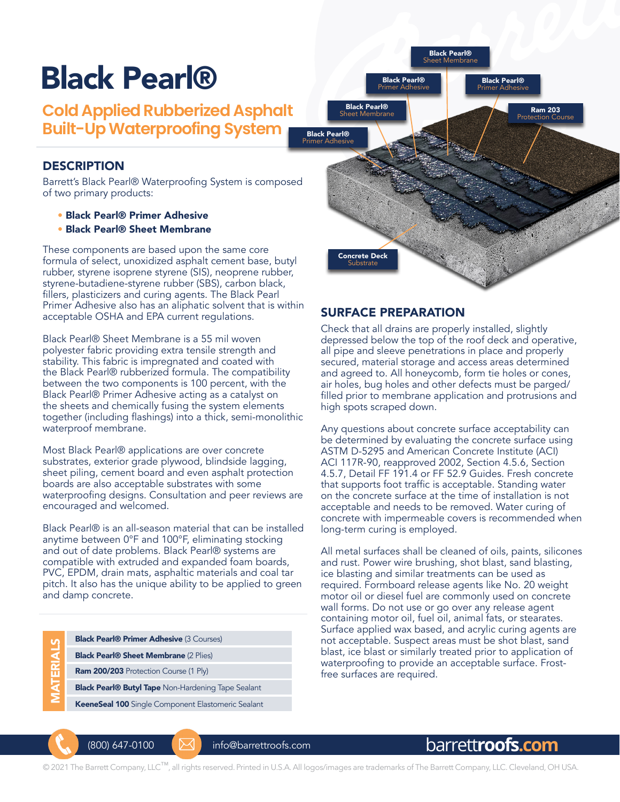# Black Pearl®

**Cold Applied Rubberized Asphalt Built-Up Waterproofing System**

## **DESCRIPTION**

Barrett's Black Pearl® Waterproofing System is composed of two primary products:

- Black Pearl® Primer Adhesive
- Black Pearl® Sheet Membrane

These components are based upon the same core formula of select, unoxidized asphalt cement base, butyl rubber, styrene isoprene styrene (SIS), neoprene rubber, styrene-butadiene-styrene rubber (SBS), carbon black, fillers, plasticizers and curing agents. The Black Pearl Primer Adhesive also has an aliphatic solvent that is within acceptable OSHA and EPA current regulations.

Black Pearl® Sheet Membrane is a 55 mil woven polyester fabric providing extra tensile strength and stability. This fabric is impregnated and coated with the Black Pearl® rubberized formula. The compatibility between the two components is 100 percent, with the Black Pearl® Primer Adhesive acting as a catalyst on the sheets and chemically fusing the system elements together (including flashings) into a thick, semi-monolithic waterproof membrane.

Most Black Pearl® applications are over concrete substrates, exterior grade plywood, blindside lagging, sheet piling, cement board and even asphalt protection boards are also acceptable substrates with some waterproofing designs. Consultation and peer reviews are encouraged and welcomed.

Black Pearl® is an all-season material that can be installed anytime between 0°F and 100°F, eliminating stocking and out of date problems. Black Pearl® systems are compatible with extruded and expanded foam boards, PVC, EPDM, drain mats, asphaltic materials and coal tar pitch. It also has the unique ability to be applied to green and damp concrete.

| M           | <b>Black Pearl<sup>®</sup> Primer Adhesive (3 Courses)</b> |
|-------------|------------------------------------------------------------|
| <b>RIAI</b> | <b>Black Pearl® Sheet Membrane (2 Plies)</b>               |
|             | Ram 200/203 Protection Course (1 Ply)                      |
|             | <b>Black Pearl® Butyl Tape Non-Hardening Tape Sealant</b>  |
|             |                                                            |

KeeneSeal 100 Single Component Elastomeric Sealant



## SURFACE PREPARATION

Check that all drains are properly installed, slightly depressed below the top of the roof deck and operative, all pipe and sleeve penetrations in place and properly secured, material storage and access areas determined and agreed to. All honeycomb, form tie holes or cones, air holes, bug holes and other defects must be parged/ filled prior to membrane application and protrusions and high spots scraped down.

Any questions about concrete surface acceptability can be determined by evaluating the concrete surface using ASTM D-5295 and American Concrete Institute (ACI) ACI 117R-90, reapproved 2002, Section 4.5.6, Section 4.5.7, Detail FF 191.4 or FF 52.9 Guides. Fresh concrete that supports foot traffic is acceptable. Standing water on the concrete surface at the time of installation is not acceptable and needs to be removed. Water curing of concrete with impermeable covers is recommended when long-term curing is employed.

All metal surfaces shall be cleaned of oils, paints, silicones and rust. Power wire brushing, shot blast, sand blasting, ice blasting and similar treatments can be used as required. Formboard release agents like No. 20 weight motor oil or diesel fuel are commonly used on concrete wall forms. Do not use or go over any release agent containing motor oil, fuel oil, animal fats, or stearates. Surface applied wax based, and acrylic curing agents are not acceptable. Suspect areas must be shot blast, sand blast, ice blast or similarly treated prior to application of waterproofing to provide an acceptable surface. Frostfree surfaces are required.



(800) 647-0100 info@barrettroofs.com

# barrett**roofs.com**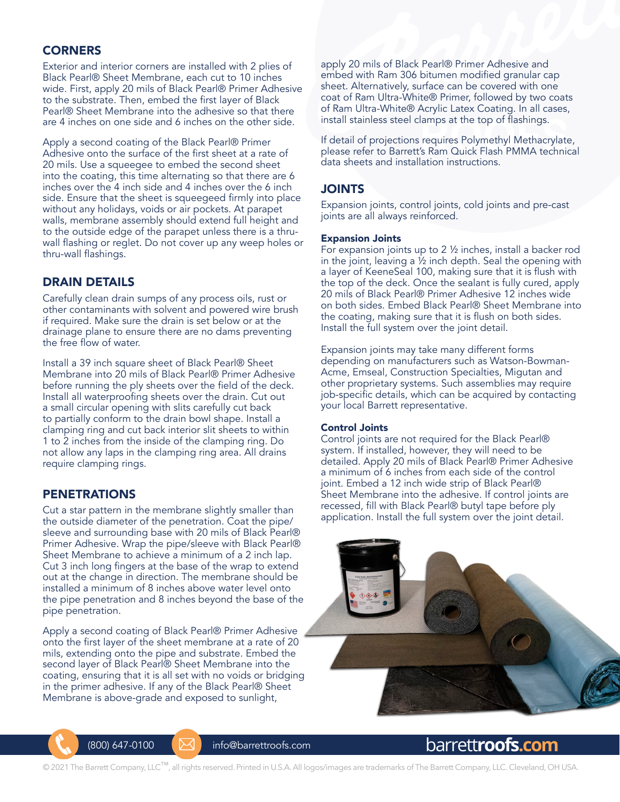## **CORNERS**

Exterior and interior corners are installed with 2 plies of Black Pearl® Sheet Membrane, each cut to 10 inches wide. First, apply 20 mils of Black Pearl® Primer Adhesive to the substrate. Then, embed the first layer of Black Pearl® Sheet Membrane into the adhesive so that there are 4 inches on one side and 6 inches on the other side.

Apply a second coating of the Black Pearl® Primer Adhesive onto the surface of the first sheet at a rate of 20 mils. Use a squeegee to embed the second sheet into the coating, this time alternating so that there are 6 inches over the 4 inch side and 4 inches over the 6 inch side. Ensure that the sheet is squeegeed firmly into place without any holidays, voids or air pockets. At parapet walls, membrane assembly should extend full height and to the outside edge of the parapet unless there is a thruwall flashing or reglet. Do not cover up any weep holes or thru-wall flashings.

## DRAIN DETAILS

Carefully clean drain sumps of any process oils, rust or other contaminants with solvent and powered wire brush if required. Make sure the drain is set below or at the drainage plane to ensure there are no dams preventing the free flow of water.

Install a 39 inch square sheet of Black Pearl® Sheet Membrane into 20 mils of Black Pearl® Primer Adhesive before running the ply sheets over the field of the deck. Install all waterproofing sheets over the drain. Cut out a small circular opening with slits carefully cut back to partially conform to the drain bowl shape. Install a clamping ring and cut back interior slit sheets to within 1 to 2 inches from the inside of the clamping ring. Do not allow any laps in the clamping ring area. All drains require clamping rings.

## PENETRATIONS

Cut a star pattern in the membrane slightly smaller than the outside diameter of the penetration. Coat the pipe/ sleeve and surrounding base with 20 mils of Black Pearl® Primer Adhesive. Wrap the pipe/sleeve with Black Pearl® Sheet Membrane to achieve a minimum of a 2 inch lap. Cut 3 inch long fingers at the base of the wrap to extend out at the change in direction. The membrane should be installed a minimum of 8 inches above water level onto the pipe penetration and 8 inches beyond the base of the pipe penetration.

Apply a second coating of Black Pearl® Primer Adhesive onto the first layer of the sheet membrane at a rate of 20 mils, extending onto the pipe and substrate. Embed the second layer of Black Pearl® Sheet Membrane into the coating, ensuring that it is all set with no voids or bridging in the primer adhesive. If any of the Black Pearl® Sheet Membrane is above-grade and exposed to sunlight,

apply 20 mils of Black Pearl® Primer Adhesive and embed with Ram 306 bitumen modified granular cap sheet. Alternatively, surface can be covered with one coat of Ram Ultra-White® Primer, followed by two coats of Ram Ultra-White® Acrylic Latex Coating. In all cases, install stainless steel clamps at the top of flashings.

If detail of projections requires Polymethyl Methacrylate, please refer to Barrett's Ram Quick Flash PMMA technical data sheets and installation instructions.

## JOINTS

Expansion joints, control joints, cold joints and pre-cast joints are all always reinforced.

#### Expansion Joints

For expansion joints up to 2 ½ inches, install a backer rod in the joint, leaving a  $\frac{1}{2}$  inch depth. Seal the opening with a layer of KeeneSeal 100, making sure that it is flush with the top of the deck. Once the sealant is fully cured, apply 20 mils of Black Pearl® Primer Adhesive 12 inches wide on both sides. Embed Black Pearl® Sheet Membrane into the coating, making sure that it is flush on both sides. Install the full system over the joint detail.

Expansion joints may take many different forms depending on manufacturers such as Watson-Bowman-Acme, Emseal, Construction Specialties, Migutan and other proprietary systems. Such assemblies may require job-specific details, which can be acquired by contacting your local Barrett representative.

#### Control Joints

Control joints are not required for the Black Pearl® system. If installed, however, they will need to be detailed. Apply 20 mils of Black Pearl® Primer Adhesive a minimum of 6 inches from each side of the control joint. Embed a 12 inch wide strip of Black Pearl® Sheet Membrane into the adhesive. If control joints are recessed, fill with Black Pearl® butyl tape before ply application. Install the full system over the joint detail.





(800) 647-0100 info@barrettroofs.com

# barrett**roofs.com**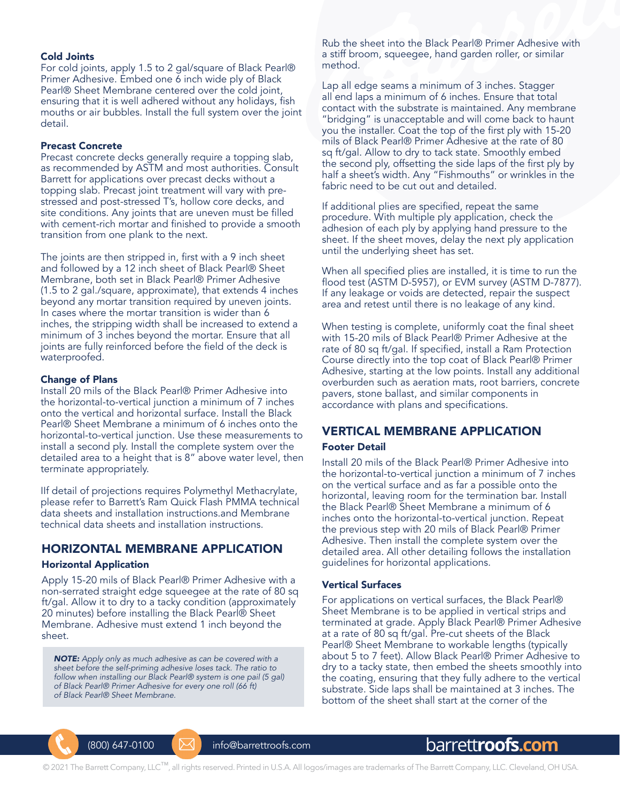#### Cold Joints

For cold joints, apply 1.5 to 2 gal/square of Black Pearl® Primer Adhesive. Embed one 6 inch wide ply of Black Pearl® Sheet Membrane centered over the cold joint, ensuring that it is well adhered without any holidays, fish mouths or air bubbles. Install the full system over the joint detail.

#### Precast Concrete

Precast concrete decks generally require a topping slab, as recommended by ASTM and most authorities. Consult Barrett for applications over precast decks without a topping slab. Precast joint treatment will vary with prestressed and post-stressed T's, hollow core decks, and site conditions. Any joints that are uneven must be filled with cement-rich mortar and finished to provide a smooth transition from one plank to the next.

The joints are then stripped in, first with a 9 inch sheet and followed by a 12 inch sheet of Black Pearl® Sheet Membrane, both set in Black Pearl® Primer Adhesive (1.5 to 2 gal./square, approximate), that extends 4 inches beyond any mortar transition required by uneven joints. In cases where the mortar transition is wider than 6 inches, the stripping width shall be increased to extend a minimum of 3 inches beyond the mortar. Ensure that all joints are fully reinforced before the field of the deck is waterproofed.

#### Change of Plans

Install 20 mils of the Black Pearl® Primer Adhesive into the horizontal-to-vertical junction a minimum of 7 inches onto the vertical and horizontal surface. Install the Black Pearl® Sheet Membrane a minimum of 6 inches onto the horizontal-to-vertical junction. Use these measurements to install a second ply. Install the complete system over the detailed area to a height that is 8" above water level, then terminate appropriately.

IIf detail of projections requires Polymethyl Methacrylate, please refer to Barrett's Ram Quick Flash PMMA technical data sheets and installation instructions.and Membrane technical data sheets and installation instructions.

## HORIZONTAL MEMBRANE APPLICATION

#### Horizontal Application

Apply 15-20 mils of Black Pearl® Primer Adhesive with a non-serrated straight edge squeegee at the rate of 80 sq ft/gal. Allow it to dry to a tacky condition (approximately 20 minutes) before installing the Black Pearl® Sheet Membrane. Adhesive must extend 1 inch beyond the sheet.

*NOTE: Apply only as much adhesive as can be covered with a sheet before the self-priming adhesive loses tack. The ratio to follow when installing our Black Pearl® system is one pail (5 gal) of Black Pearl® Primer Adhesive for every one roll (66 ft) of Black Pearl® Sheet Membrane.*

Rub the sheet into the Black Pearl® Primer Adhesive with a stiff broom, squeegee, hand garden roller, or similar method.

Lap all edge seams a minimum of 3 inches. Stagger all end laps a minimum of 6 inches. Ensure that total contact with the substrate is maintained. Any membrane "bridging" is unacceptable and will come back to haunt you the installer. Coat the top of the first ply with 15-20 mils of Black Pearl® Primer Adhesive at the rate of 80 sq ft/gal. Allow to dry to tack state. Smoothly embed the second ply, offsetting the side laps of the first ply by half a sheet's width. Any "Fishmouths" or wrinkles in the fabric need to be cut out and detailed.

If additional plies are specified, repeat the same procedure. With multiple ply application, check the adhesion of each ply by applying hand pressure to the sheet. If the sheet moves, delay the next ply application until the underlying sheet has set.

When all specified plies are installed, it is time to run the flood test (ASTM D-5957), or EVM survey (ASTM D-7877). If any leakage or voids are detected, repair the suspect area and retest until there is no leakage of any kind.

When testing is complete, uniformly coat the final sheet with 15-20 mils of Black Pearl® Primer Adhesive at the rate of 80 sq ft/gal. If specified, install a Ram Protection Course directly into the top coat of Black Pearl® Primer Adhesive, starting at the low points. Install any additional overburden such as aeration mats, root barriers, concrete pavers, stone ballast, and similar components in accordance with plans and specifications.

## VERTICAL MEMBRANE APPLICATION

#### Footer Detail

Install 20 mils of the Black Pearl® Primer Adhesive into the horizontal-to-vertical junction a minimum of 7 inches on the vertical surface and as far a possible onto the horizontal, leaving room for the termination bar. Install the Black Pearl® Sheet Membrane a minimum of 6 inches onto the horizontal-to-vertical junction. Repeat the previous step with 20 mils of Black Pearl® Primer Adhesive. Then install the complete system over the detailed area. All other detailing follows the installation guidelines for horizontal applications.

#### Vertical Surfaces

For applications on vertical surfaces, the Black Pearl® Sheet Membrane is to be applied in vertical strips and terminated at grade. Apply Black Pearl® Primer Adhesive at a rate of 80 sq ft/gal. Pre-cut sheets of the Black Pearl® Sheet Membrane to workable lengths (typically about 5 to 7 feet). Allow Black Pearl® Primer Adhesive to dry to a tacky state, then embed the sheets smoothly into the coating, ensuring that they fully adhere to the vertical substrate. Side laps shall be maintained at 3 inches. The bottom of the sheet shall start at the corner of the



(800) 647-0100 info@barrettroofs.com

# barrett**roofs.com**